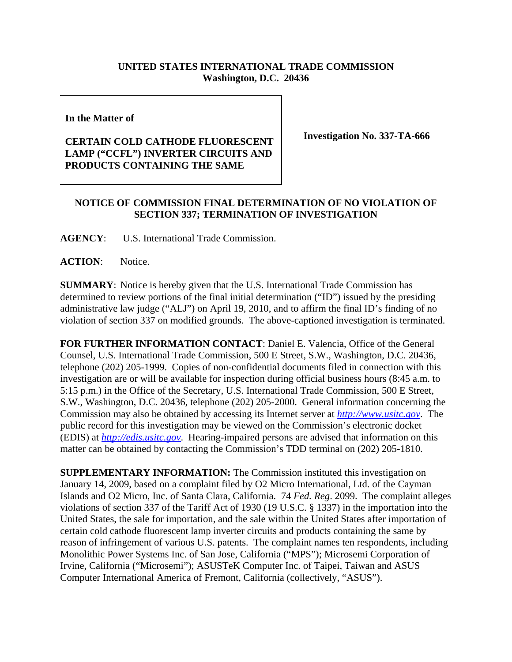## **UNITED STATES INTERNATIONAL TRADE COMMISSION Washington, D.C. 20436**

**In the Matter of** 

## **CERTAIN COLD CATHODE FLUORESCENT LAMP ("CCFL") INVERTER CIRCUITS AND PRODUCTS CONTAINING THE SAME**

**Investigation No. 337-TA-666**

## **NOTICE OF COMMISSION FINAL DETERMINATION OF NO VIOLATION OF SECTION 337; TERMINATION OF INVESTIGATION**

**AGENCY**: U.S. International Trade Commission.

ACTION: Notice.

**SUMMARY**: Notice is hereby given that the U.S. International Trade Commission has determined to review portions of the final initial determination ("ID") issued by the presiding administrative law judge ("ALJ") on April 19, 2010, and to affirm the final ID's finding of no violation of section 337 on modified grounds. The above-captioned investigation is terminated.

**FOR FURTHER INFORMATION CONTACT**: Daniel E. Valencia, Office of the General Counsel, U.S. International Trade Commission, 500 E Street, S.W., Washington, D.C. 20436, telephone (202) 205-1999. Copies of non-confidential documents filed in connection with this investigation are or will be available for inspection during official business hours (8:45 a.m. to 5:15 p.m.) in the Office of the Secretary, U.S. International Trade Commission, 500 E Street, S.W., Washington, D.C. 20436, telephone (202) 205-2000. General information concerning the Commission may also be obtained by accessing its Internet server at *http://www.usitc.gov*. The public record for this investigation may be viewed on the Commission's electronic docket (EDIS) at *http://edis.usitc.gov*. Hearing-impaired persons are advised that information on this matter can be obtained by contacting the Commission's TDD terminal on (202) 205-1810.

**SUPPLEMENTARY INFORMATION:** The Commission instituted this investigation on January 14, 2009, based on a complaint filed by O2 Micro International, Ltd. of the Cayman Islands and O2 Micro, Inc. of Santa Clara, California. 74 *Fed. Reg*. 2099. The complaint alleges violations of section 337 of the Tariff Act of 1930 (19 U.S.C. § 1337) in the importation into the United States, the sale for importation, and the sale within the United States after importation of certain cold cathode fluorescent lamp inverter circuits and products containing the same by reason of infringement of various U.S. patents. The complaint names ten respondents, including Monolithic Power Systems Inc. of San Jose, California ("MPS"); Microsemi Corporation of Irvine, California ("Microsemi"); ASUSTeK Computer Inc. of Taipei, Taiwan and ASUS Computer International America of Fremont, California (collectively, "ASUS").